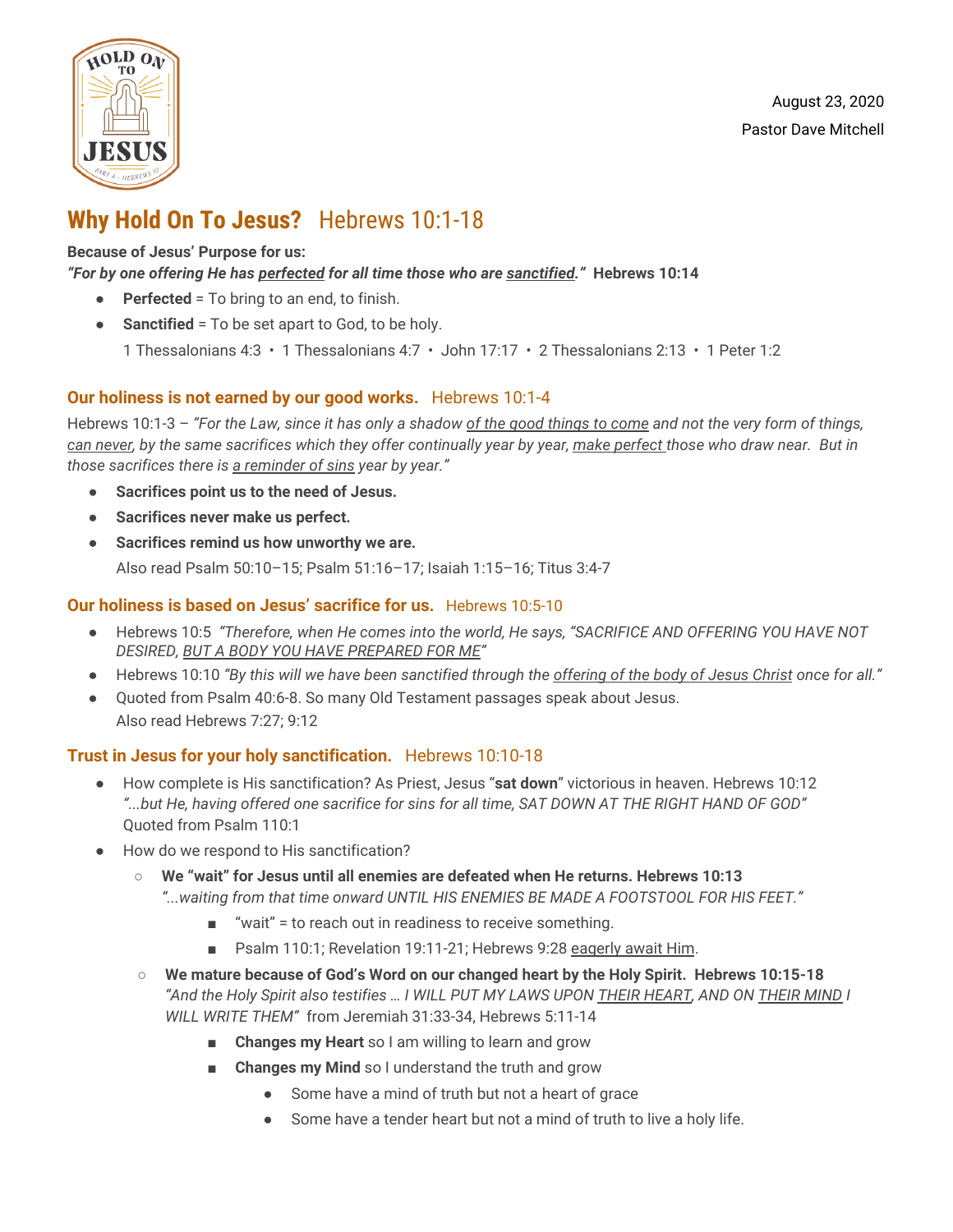

## **Why Hold On To Jesus?** Hebrews 10:1-18

#### **Because of Jesus' Purpose for us:**

#### *"For by one offering He has perfected for all time those who are sanctified."* **Hebrews 10:14**

- **Perfected** = To bring to an end, to finish.
- **•** Sanctified = To be set apart to God, to be holy.
	- 1 Thessalonians 4:3 1 Thessalonians 4:7 John 17:17 2 Thessalonians 2:13 1 Peter 1:2

### **Our holiness is not earned by our good works.** Hebrews 10:1-4

Hebrews 10:1-3  $-$  "For the Law, since it has only a shadow of the good things to come and not the very form of things, can never, by the same sacrifices which they offer continually year by year, make perfect those who draw near. But in *those sacrifices there is a reminder of sins year by year."*

- **● Sacrifices point us to the need of Jesus.**
- **● Sacrifices never make us perfect.**
- **● Sacrifices remind us how unworthy we are.** Also read Psalm 50:10–15; Psalm 51:16–17; Isaiah 1:15–16; Titus 3:4-7

### **Our holiness is based on Jesus' sacrifice for us.** Hebrews 10:5-10

- Hebrews 10:5 *"Therefore, when He comes into the world, He says, "SACRIFICE AND OFFERING YOU HAVE NOT DESIRED, BUT A BODY YOU HAVE PREPARED FOR ME"*
- Hebrews 10:10 "By this will we have been sanctified through the offering of the body of Jesus Christ once for all."
- Quoted from Psalm 40:6-8. So many Old Testament passages speak about Jesus. Also read Hebrews 7:27; 9:12

### **Trust in Jesus for your holy sanctification.** Hebrews 10:10-18

- How complete is His sanctification? As Priest, Jesus "**sat down**" victorious in heaven. Hebrews 10:12 "...but He, having offered one sacrifice for sins for all time, SAT DOWN AT THE RIGHT HAND OF GOD" Quoted from Psalm 110:1
- How do we respond to His sanctification?
	- **We "wait" for Jesus until all enemies are defeated when He returns. Hebrews 10:13** *"...waiting from that time onward UNTIL HIS ENEMIES BE MADE A FOOTSTOOL FOR HIS FEET."*
		- "wait" = to reach out in readiness to receive something.
		- Psalm 110:1; Revelation 19:11-21; Hebrews 9:28 eagerly await Him.
	- **We mature because of God's Word on our changed heart by the Holy Spirit. Hebrews 10:15-18** "And the Holy Spirit also testifies ... I WILL PUT MY LAWS UPON THEIR HEART, AND ON THEIR MIND I *WILL WRITE THEM"* from Jeremiah 31:33-34, Hebrews 5:11-14
		- **Changes my Heart** so I am willing to learn and grow
		- **Changes my Mind** so I understand the truth and grow
			- Some have a mind of truth but not a heart of grace
			- Some have a tender heart but not a mind of truth to live a holy life.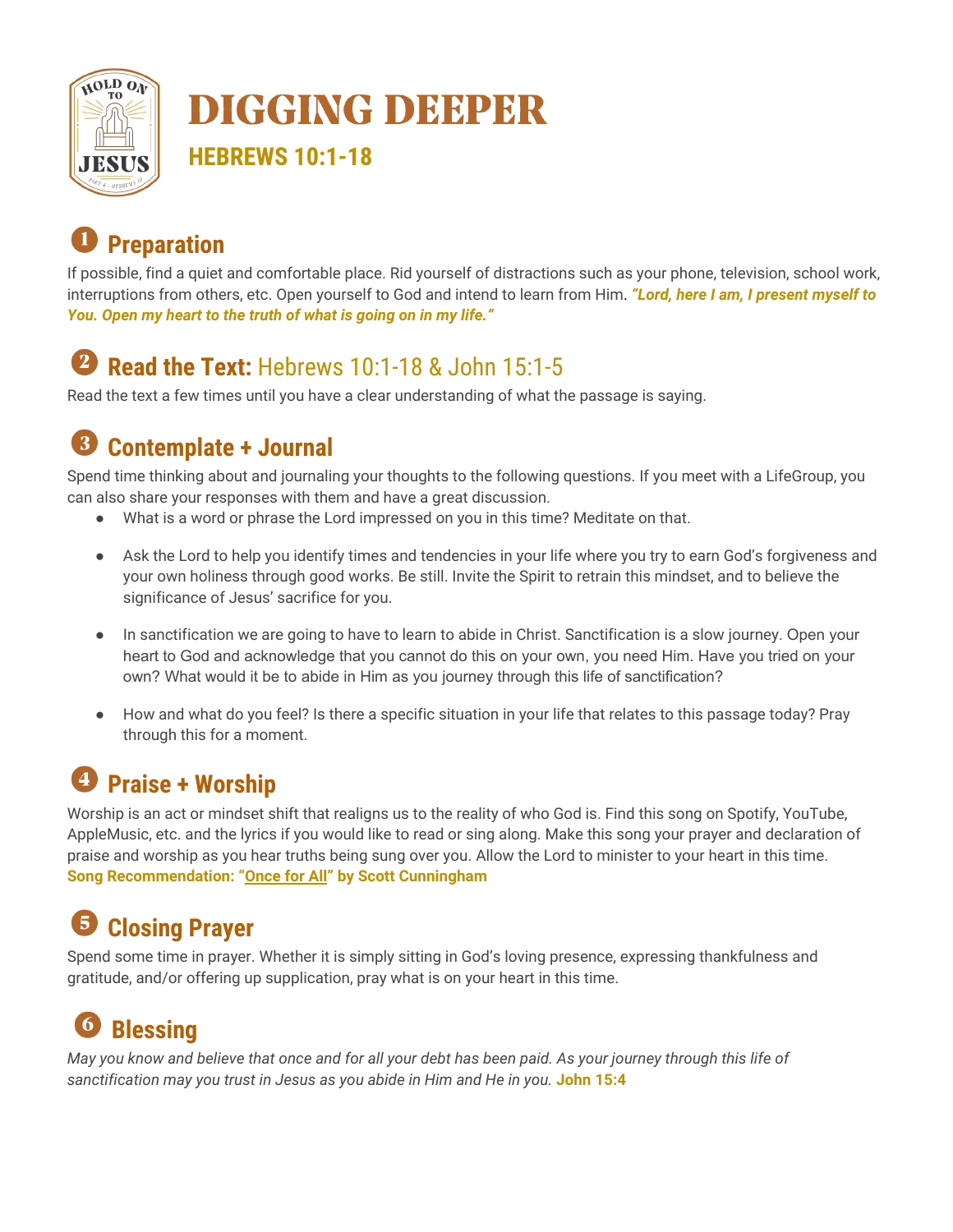

# **DIGGING DEEPER**

**HEBREWS 10:1-18**

# **Preparation**

If possible, find a quiet and comfortable place. Rid yourself of distractions such as your phone, television, school work, interruptions from others, etc. Open yourself to God and intend to learn from Him. *"Lord, here I am, I present myself to You. Open my heart to the truth of what is going on in my life."*

# **Read the Text:** Hebrews 10:1-18 & John 15:1-5

Read the text a few times until you have a clear understanding of what the passage is saying.

#### **Contemplate + Journal** 8

Spend time thinking about and journaling your thoughts to the following questions. If you meet with a LifeGroup, you can also share your responses with them and have a great discussion.

- What is a word or phrase the Lord impressed on you in this time? Meditate on that.
- Ask the Lord to help you identify times and tendencies in your life where you try to earn God's forgiveness and your own holiness through good works. Be still. Invite the Spirit to retrain this mindset, and to believe the significance of Jesus' sacrifice for you.
- In sanctification we are going to have to learn to abide in Christ. Sanctification is a slow journey. Open your heart to God and acknowledge that you cannot do this on your own, you need Him. Have you tried on your own? What would it be to abide in Him as you journey through this life of sanctification?
- How and what do you feel? Is there a specific situation in your life that relates to this passage today? Pray through this for a moment.

# **Praise + Worship**

Worship is an act or mindset shift that realigns us to the reality of who God is. Find this song on Spotify, YouTube, AppleMusic, etc. and the lyrics if you would like to read or sing along. Make this song your prayer and declaration of praise and worship as you hear truths being sung over you. Allow the Lord to minister to your heart in this time. **Song Recommendation: "[Once](https://www.youtube.com/watch?v=cCu9cVpHZ2U) for All" by Scott Cunningham**

# **Closing Prayer**

Spend some time in prayer. Whether it is simply sitting in God's loving presence, expressing thankfulness and gratitude, and/or offering up supplication, pray what is on your heart in this time.

#### 6 **Blessing**

May you know and believe that once and for all your debt has been paid. As your journey through this life of *sanctification may you trust in Jesus as you abide in Him and He in you.* **John 15:4**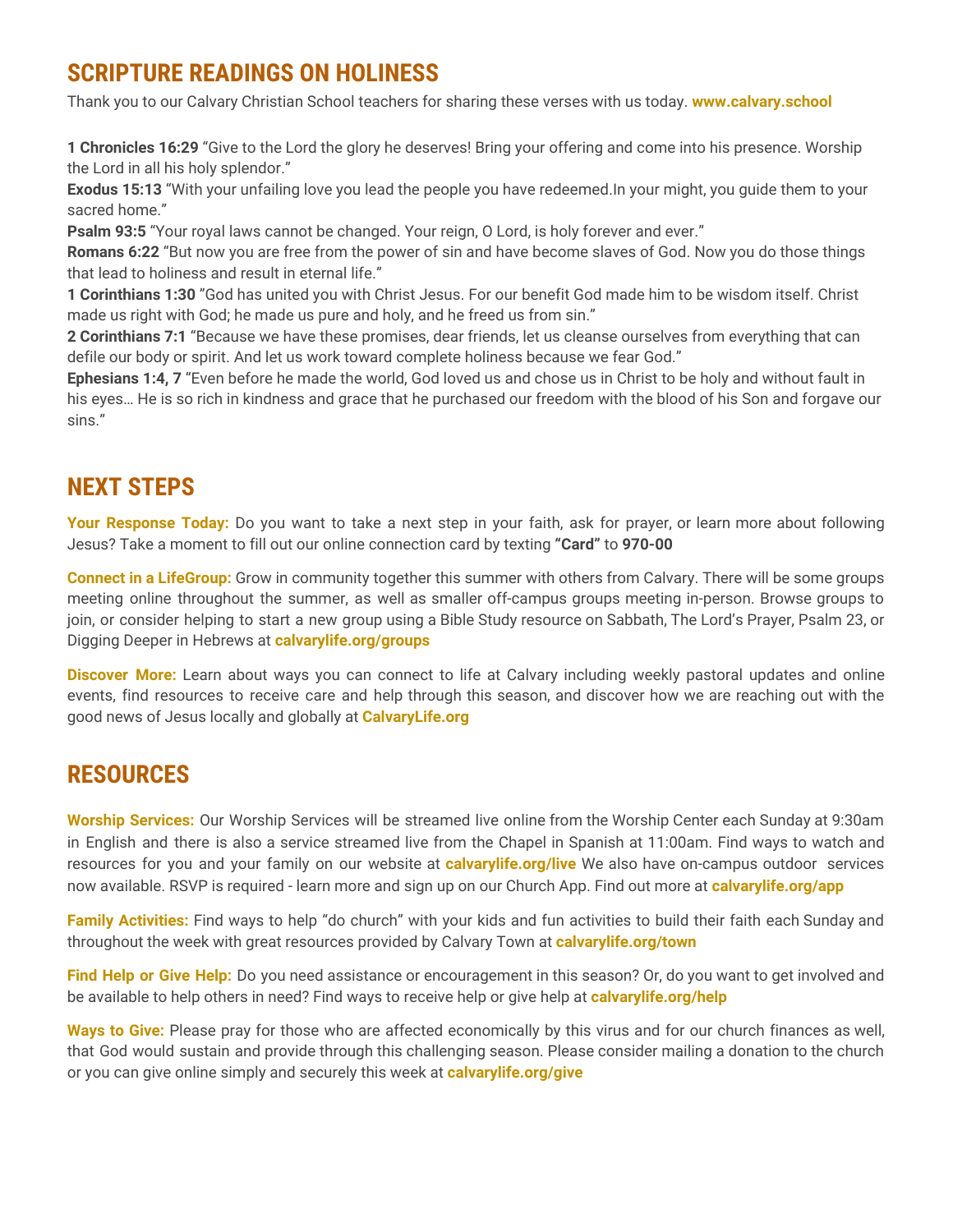### **SCRIPTURE READINGS ON HOLINESS**

Thank you to our Calvary Christian School teachers for sharing these verses with us today. **www.calvary.school**

**1 Chronicles 16:29** "Give to the Lord the glory he deserves! Bring your offering and come into his presence. Worship the Lord in all his holy splendor."

**Exodus 15:13** "With your unfailing love you lead the people you have redeemed.In your might, you guide them to your sacred home."

**Psalm 93:5** "Your royal laws cannot be changed. Your reign, O Lord, is holy forever and ever."

**Romans 6:22** "But now you are free from the power of sin and have become slaves of God. Now you do those things that lead to holiness and result in eternal life."

**1 Corinthians 1:30** "God has united you with Christ Jesus. For our benefit God made him to be wisdom itself. Christ made us right with God; he made us pure and holy, and he freed us from sin."

**2 Corinthians 7:1** "Because we have these promises, dear friends, let us cleanse ourselves from everything that can defile our body or spirit. And let us work toward complete holiness because we fear God."

**Ephesians 1:4, 7** "Even before he made the world, God loved us and chose us in Christ to be holy and without fault in his eyes… He is so rich in kindness and grace that he purchased our freedom with the blood of his Son and forgave our sins."

### **NEXT STEPS**

**Your Response Today:** Do you want to take a next step in your faith, ask for prayer, or learn more about following Jesus? Take a moment to fill out our online connection card by texting **"Card"** to **970-00**

**Connect in a LifeGroup:** Grow in community together this summer with others from Calvary. There will be some groups meeting online throughout the summer, as well as smaller off-campus groups meeting in-person. Browse groups to join, or consider helping to start a new group using a Bible Study resource on Sabbath, The Lord's Prayer, Psalm 23, or Digging Deeper in Hebrews at **calvarylife.org/groups**

**Discover More:** Learn about ways you can connect to life at Calvary including weekly pastoral updates and online events, find resources to receive care and help through this season, and discover how we are reaching out with the good news of Jesus locally and globally at **CalvaryLife.org**

### **RESOURCES**

**Worship Services:** Our Worship Services will be streamed live online from the Worship Center each Sunday at 9:30am in English and there is also a service streamed live from the Chapel in Spanish at 11:00am. Find ways to watch and resources for you and your family on our website at **calvarylife.org/live** We also have on-campus outdoor services now available. RSVP is required - learn more and sign up on our Church App. Find out more at **calvarylife.org/app**

**Family Activities:** Find ways to help "do church" with your kids and fun activities to build their faith each Sunday and throughout the week with great resources provided by Calvary Town at **calvarylife.org/town**

**Find Help or Give Help:** Do you need assistance or encouragement in this season? Or, do you want to get involved and be available to help others in need? Find ways to receive help or give help at **calvarylife.org/help**

**Ways to Give:** Please pray for those who are affected economically by this virus and for our church finances as well, that God would sustain and provide through this challenging season. Please consider mailing a donation to the church or you can give online simply and securely this week at **calvarylife.org/give**